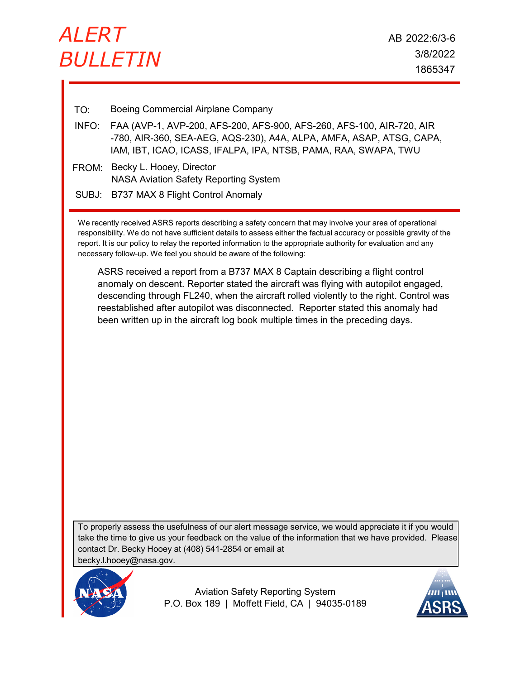

- TO: Boeing Commercial Airplane Company
- FAA (AVP-1, AVP-200, AFS-200, AFS-900, AFS-260, AFS-100, AIR-720, AIR -780, AIR-360, SEA-AEG, AQS-230), A4A, ALPA, AMFA, ASAP, ATSG, CAPA, IAM, IBT, ICAO, ICASS, IFALPA, IPA, NTSB, PAMA, RAA, SWAPA, TWU INFO:
- FROM: Becky L. Hooey, Director NASA Aviation Safety Reporting System
- SUBJ: B737 MAX 8 Flight Control Anomaly

We recently received ASRS reports describing a safety concern that may involve your area of operational responsibility. We do not have sufficient details to assess either the factual accuracy or possible gravity of the report. It is our policy to relay the reported information to the appropriate authority for evaluation and any necessary follow-up. We feel you should be aware of the following:

ASRS received a report from a B737 MAX 8 Captain describing a flight control anomaly on descent. Reporter stated the aircraft was flying with autopilot engaged, descending through FL240, when the aircraft rolled violently to the right. Control was reestablished after autopilot was disconnected. Reporter stated this anomaly had been written up in the aircraft log book multiple times in the preceding days.

To properly assess the usefulness of our alert message service, we would appreciate it if you would take the time to give us your feedback on the value of the information that we have provided. Please contact Dr. Becky Hooey at (408) 541-2854 or email at becky.l.hooey@nasa.gov.



Aviation Safety Reporting System P.O. Box 189 | Moffett Field, CA | 94035-0189

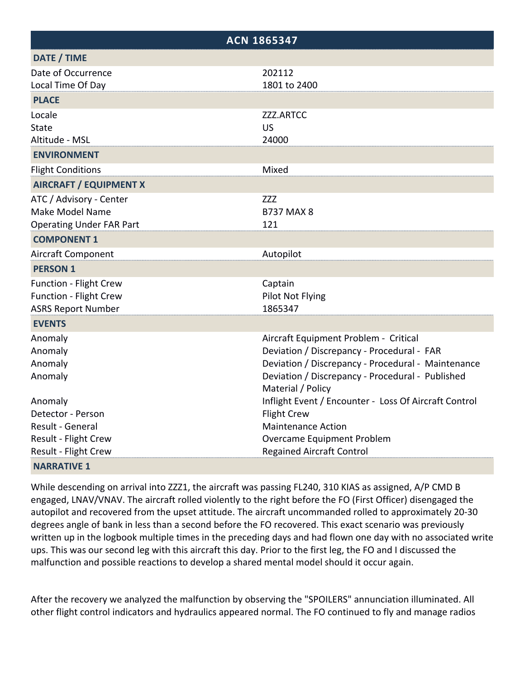| <b>ACN 1865347</b>                                                                          |                                                                                                                                                                                                                    |
|---------------------------------------------------------------------------------------------|--------------------------------------------------------------------------------------------------------------------------------------------------------------------------------------------------------------------|
| DATE / TIME                                                                                 |                                                                                                                                                                                                                    |
| Date of Occurrence<br>Local Time Of Day                                                     | 202112<br>1801 to 2400                                                                                                                                                                                             |
| <b>PLACE</b>                                                                                |                                                                                                                                                                                                                    |
| Locale<br><b>State</b><br>Altitude - MSL                                                    | ZZZ.ARTCC<br><b>US</b><br>24000                                                                                                                                                                                    |
| <b>ENVIRONMENT</b>                                                                          |                                                                                                                                                                                                                    |
| <b>Flight Conditions</b>                                                                    | Mixed                                                                                                                                                                                                              |
| <b>AIRCRAFT / EQUIPMENT X</b>                                                               |                                                                                                                                                                                                                    |
| ATC / Advisory - Center<br>Make Model Name<br><b>Operating Under FAR Part</b>               | <b>ZZZ</b><br><b>B737 MAX 8</b><br>121                                                                                                                                                                             |
| <b>COMPONENT 1</b>                                                                          |                                                                                                                                                                                                                    |
| <b>Aircraft Component</b>                                                                   | Autopilot                                                                                                                                                                                                          |
| <b>PERSON 1</b>                                                                             |                                                                                                                                                                                                                    |
| <b>Function - Flight Crew</b><br><b>Function - Flight Crew</b><br><b>ASRS Report Number</b> | Captain<br>Pilot Not Flying<br>1865347                                                                                                                                                                             |
| <b>EVENTS</b>                                                                               |                                                                                                                                                                                                                    |
| Anomaly<br>Anomaly<br>Anomaly<br>Anomaly                                                    | Aircraft Equipment Problem - Critical<br>Deviation / Discrepancy - Procedural - FAR<br>Deviation / Discrepancy - Procedural - Maintenance<br>Deviation / Discrepancy - Procedural - Published<br>Material / Policy |
| Anomaly<br>Detector - Person                                                                | Inflight Event / Encounter - Loss Of Aircraft Control<br><b>Flight Crew</b>                                                                                                                                        |
| Result - General                                                                            | <b>Maintenance Action</b>                                                                                                                                                                                          |
| Result - Flight Crew<br>Result - Flight Crew                                                | Overcame Equipment Problem<br><b>Regained Aircraft Control</b>                                                                                                                                                     |
| <b>NARRATIVE 1</b>                                                                          |                                                                                                                                                                                                                    |

While descending on arrival into ZZZ1, the aircraft was passing FL240, 310 KIAS as assigned, A/P CMD B engaged, LNAV/VNAV. The aircraft rolled violently to the right before the FO (First Officer) disengaged the autopilot and recovered from the upset attitude. The aircraft uncommanded rolled to approximately 20‐30 degrees angle of bank in less than a second before the FO recovered. This exact scenario was previously written up in the logbook multiple times in the preceding days and had flown one day with no associated write ups. This was our second leg with this aircraft this day. Prior to the first leg, the FO and I discussed the malfunction and possible reactions to develop a shared mental model should it occur again.

After the recovery we analyzed the malfunction by observing the "SPOILERS" annunciation illuminated. All other flight control indicators and hydraulics appeared normal. The FO continued to fly and manage radios